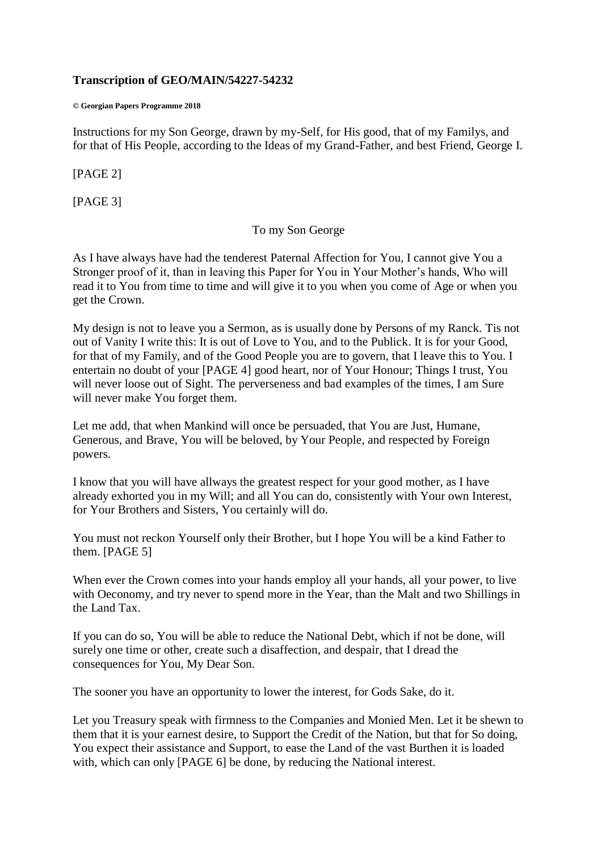### **Transcription of GEO/MAIN/54227-54232**

#### **© Georgian Papers Programme 2018**

Instructions for my Son George, drawn by my-Self, for His good, that of my Familys, and for that of His People, according to the Ideas of my Grand-Father, and best Friend, George I.

# [PAGE 2]

[PAGE 3]

### To my Son George

As I have always have had the tenderest Paternal Affection for You, I cannot give You a Stronger proof of it, than in leaving this Paper for You in Your Mother's hands, Who will read it to You from time to time and will give it to you when you come of Age or when you get the Crown.

My design is not to leave you a Sermon, as is usually done by Persons of my Ranck. Tis not out of Vanity I write this: It is out of Love to You, and to the Publick. It is for your Good, for that of my Family, and of the Good People you are to govern, that I leave this to You. I entertain no doubt of your [PAGE 4] good heart, nor of Your Honour; Things I trust, You will never loose out of Sight. The perverseness and bad examples of the times, I am Sure will never make You forget them.

Let me add, that when Mankind will once be persuaded, that You are Just, Humane, Generous, and Brave, You will be beloved, by Your People, and respected by Foreign powers.

I know that you will have allways the greatest respect for your good mother, as I have already exhorted you in my Will; and all You can do, consistently with Your own Interest, for Your Brothers and Sisters, You certainly will do.

You must not reckon Yourself only their Brother, but I hope You will be a kind Father to them. [PAGE 5]

When ever the Crown comes into your hands employ all your hands, all your power, to live with Oeconomy, and try never to spend more in the Year, than the Malt and two Shillings in the Land Tax.

If you can do so, You will be able to reduce the National Debt, which if not be done, will surely one time or other, create such a disaffection, and despair, that I dread the consequences for You, My Dear Son.

The sooner you have an opportunity to lower the interest, for Gods Sake, do it.

Let you Treasury speak with firmness to the Companies and Monied Men. Let it be shewn to them that it is your earnest desire, to Support the Credit of the Nation, but that for So doing, You expect their assistance and Support, to ease the Land of the vast Burthen it is loaded with, which can only [PAGE 6] be done, by reducing the National interest.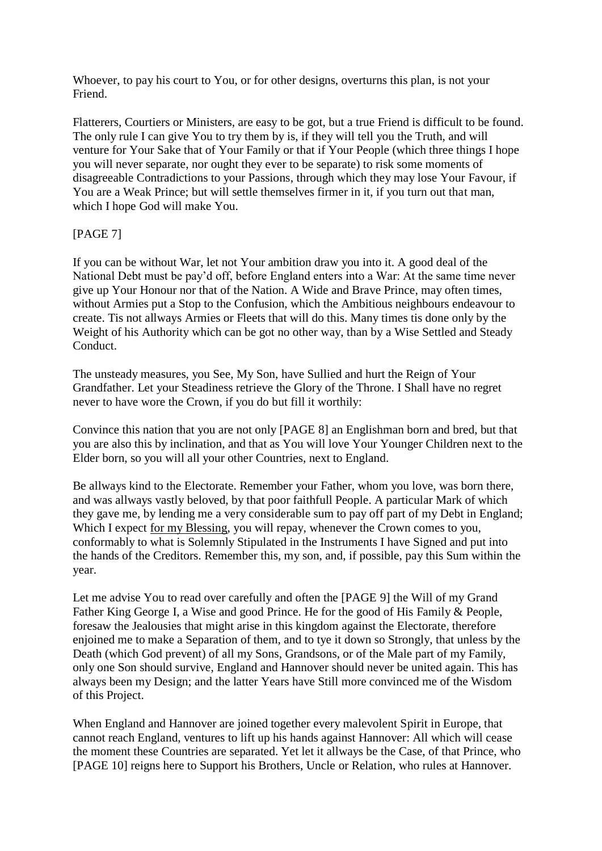Whoever, to pay his court to You, or for other designs, overturns this plan, is not your Friend.

Flatterers, Courtiers or Ministers, are easy to be got, but a true Friend is difficult to be found. The only rule I can give You to try them by is, if they will tell you the Truth, and will venture for Your Sake that of Your Family or that if Your People (which three things I hope you will never separate, nor ought they ever to be separate) to risk some moments of disagreeable Contradictions to your Passions, through which they may lose Your Favour, if You are a Weak Prince; but will settle themselves firmer in it, if you turn out that man, which I hope God will make You.

# [PAGE 7]

If you can be without War, let not Your ambition draw you into it. A good deal of the National Debt must be pay'd off, before England enters into a War: At the same time never give up Your Honour nor that of the Nation. A Wide and Brave Prince, may often times, without Armies put a Stop to the Confusion, which the Ambitious neighbours endeavour to create. Tis not allways Armies or Fleets that will do this. Many times tis done only by the Weight of his Authority which can be got no other way, than by a Wise Settled and Steady Conduct.

The unsteady measures, you See, My Son, have Sullied and hurt the Reign of Your Grandfather. Let your Steadiness retrieve the Glory of the Throne. I Shall have no regret never to have wore the Crown, if you do but fill it worthily:

Convince this nation that you are not only [PAGE 8] an Englishman born and bred, but that you are also this by inclination, and that as You will love Your Younger Children next to the Elder born, so you will all your other Countries, next to England.

Be allways kind to the Electorate. Remember your Father, whom you love, was born there, and was allways vastly beloved, by that poor faithfull People. A particular Mark of which they gave me, by lending me a very considerable sum to pay off part of my Debt in England; Which I expect for my Blessing, you will repay, whenever the Crown comes to you, conformably to what is Solemnly Stipulated in the Instruments I have Signed and put into the hands of the Creditors. Remember this, my son, and, if possible, pay this Sum within the year.

Let me advise You to read over carefully and often the [PAGE 9] the Will of my Grand Father King George I, a Wise and good Prince. He for the good of His Family & People, foresaw the Jealousies that might arise in this kingdom against the Electorate, therefore enjoined me to make a Separation of them, and to tye it down so Strongly, that unless by the Death (which God prevent) of all my Sons, Grandsons, or of the Male part of my Family, only one Son should survive, England and Hannover should never be united again. This has always been my Design; and the latter Years have Still more convinced me of the Wisdom of this Project.

When England and Hannover are joined together every malevolent Spirit in Europe, that cannot reach England, ventures to lift up his hands against Hannover: All which will cease the moment these Countries are separated. Yet let it allways be the Case, of that Prince, who [PAGE 10] reigns here to Support his Brothers, Uncle or Relation, who rules at Hannover.